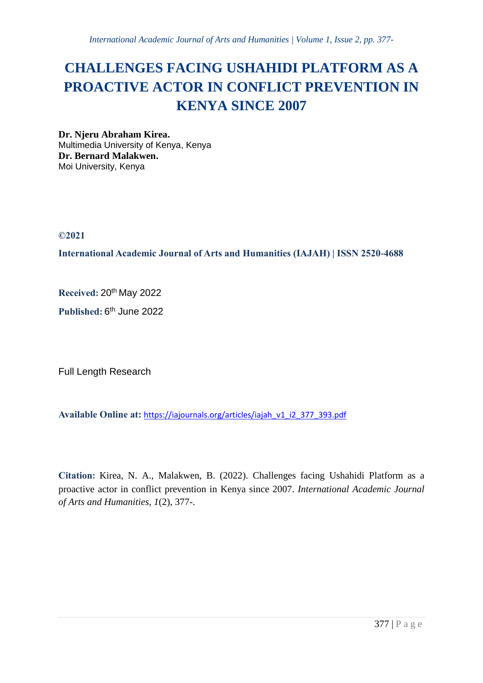# **CHALLENGES FACING USHAHIDI PLATFORM AS A PROACTIVE ACTOR IN CONFLICT PREVENTION IN KENYA SINCE 2007**

**Dr. Njeru Abraham Kirea.** Multimedia University of Kenya, Kenya **Dr. Bernard Malakwen.** Moi University, Kenya

**©2021**

**International Academic Journal of Arts and Humanities (IAJAH) | ISSN 2520-4688**

**Received:** 20th May 2022

Published: 6<sup>th</sup> June 2022

Full Length Research

**Available Online at:** [https://iajournals.org/articles/iajah\\_v1\\_i2\\_377\\_393.pdf](https://iajournals.org/articles/iajah_v1_i2_377_393.pdf)

**Citation:** Kirea, N. A., Malakwen, B. (2022). Challenges facing Ushahidi Platform as a proactive actor in conflict prevention in Kenya since 2007. *International Academic Journal of Arts and Humanities, 1*(2), 377-.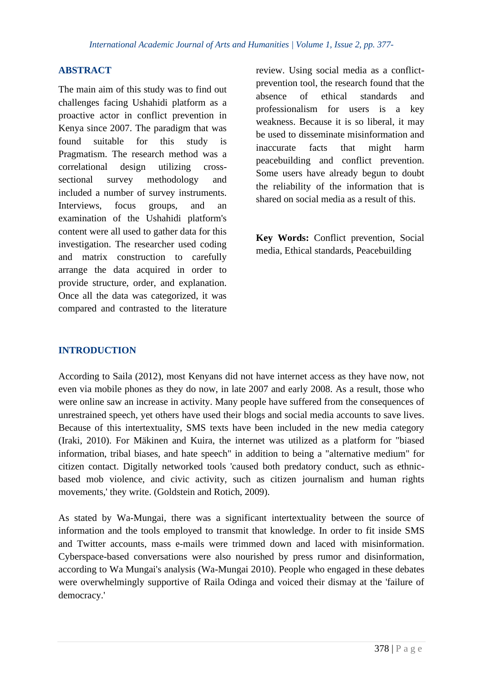# **ABSTRACT**

The main aim of this study was to find out challenges facing Ushahidi platform as a proactive actor in conflict prevention in Kenya since 2007. The paradigm that was found suitable for this study is Pragmatism. The research method was a correlational design utilizing crosssectional survey methodology and included a number of survey instruments. Interviews, focus groups, and an examination of the Ushahidi platform's content were all used to gather data for this investigation. The researcher used coding and matrix construction to carefully arrange the data acquired in order to provide structure, order, and explanation. Once all the data was categorized, it was compared and contrasted to the literature

review. Using social media as a conflictprevention tool, the research found that the absence of ethical standards and professionalism for users is a key weakness. Because it is so liberal, it may be used to disseminate misinformation and inaccurate facts that might harm peacebuilding and conflict prevention. Some users have already begun to doubt the reliability of the information that is shared on social media as a result of this.

**Key Words:** Conflict prevention, Social media, Ethical standards, Peacebuilding

# **INTRODUCTION**

According to Saila (2012), most Kenyans did not have internet access as they have now, not even via mobile phones as they do now, in late 2007 and early 2008. As a result, those who were online saw an increase in activity. Many people have suffered from the consequences of unrestrained speech, yet others have used their blogs and social media accounts to save lives. Because of this intertextuality, SMS texts have been included in the new media category (Iraki, 2010). For Mäkinen and Kuira, the internet was utilized as a platform for "biased information, tribal biases, and hate speech" in addition to being a "alternative medium" for citizen contact. Digitally networked tools 'caused both predatory conduct, such as ethnicbased mob violence, and civic activity, such as citizen journalism and human rights movements,' they write. (Goldstein and Rotich, 2009).

As stated by Wa-Mungai, there was a significant intertextuality between the source of information and the tools employed to transmit that knowledge. In order to fit inside SMS and Twitter accounts, mass e-mails were trimmed down and laced with misinformation. Cyberspace-based conversations were also nourished by press rumor and disinformation, according to Wa Mungai's analysis (Wa-Mungai 2010). People who engaged in these debates were overwhelmingly supportive of Raila Odinga and voiced their dismay at the 'failure of democracy.'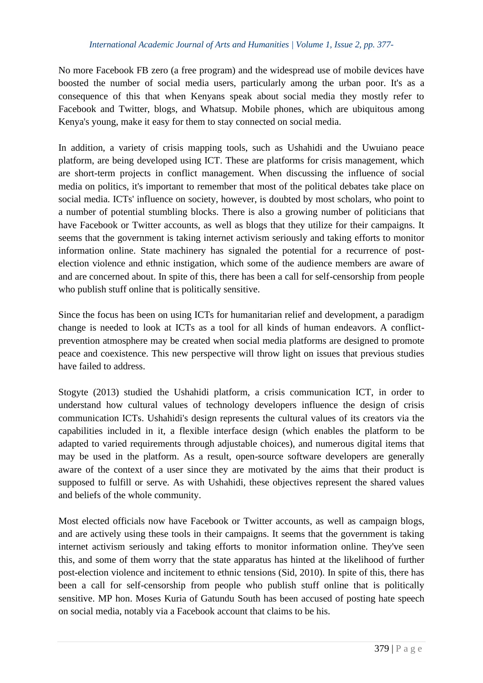No more Facebook FB zero (a free program) and the widespread use of mobile devices have boosted the number of social media users, particularly among the urban poor. It's as a consequence of this that when Kenyans speak about social media they mostly refer to Facebook and Twitter, blogs, and Whatsup. Mobile phones, which are ubiquitous among Kenya's young, make it easy for them to stay connected on social media.

In addition, a variety of crisis mapping tools, such as Ushahidi and the Uwuiano peace platform, are being developed using ICT. These are platforms for crisis management, which are short-term projects in conflict management. When discussing the influence of social media on politics, it's important to remember that most of the political debates take place on social media. ICTs' influence on society, however, is doubted by most scholars, who point to a number of potential stumbling blocks. There is also a growing number of politicians that have Facebook or Twitter accounts, as well as blogs that they utilize for their campaigns. It seems that the government is taking internet activism seriously and taking efforts to monitor information online. State machinery has signaled the potential for a recurrence of postelection violence and ethnic instigation, which some of the audience members are aware of and are concerned about. In spite of this, there has been a call for self-censorship from people who publish stuff online that is politically sensitive.

Since the focus has been on using ICTs for humanitarian relief and development, a paradigm change is needed to look at ICTs as a tool for all kinds of human endeavors. A conflictprevention atmosphere may be created when social media platforms are designed to promote peace and coexistence. This new perspective will throw light on issues that previous studies have failed to address.

Stogyte (2013) studied the Ushahidi platform, a crisis communication ICT, in order to understand how cultural values of technology developers influence the design of crisis communication ICTs. Ushahidi's design represents the cultural values of its creators via the capabilities included in it, a flexible interface design (which enables the platform to be adapted to varied requirements through adjustable choices), and numerous digital items that may be used in the platform. As a result, open-source software developers are generally aware of the context of a user since they are motivated by the aims that their product is supposed to fulfill or serve. As with Ushahidi, these objectives represent the shared values and beliefs of the whole community.

Most elected officials now have Facebook or Twitter accounts, as well as campaign blogs, and are actively using these tools in their campaigns. It seems that the government is taking internet activism seriously and taking efforts to monitor information online. They've seen this, and some of them worry that the state apparatus has hinted at the likelihood of further post-election violence and incitement to ethnic tensions (Sid, 2010). In spite of this, there has been a call for self-censorship from people who publish stuff online that is politically sensitive. MP hon. Moses Kuria of Gatundu South has been accused of posting hate speech on social media, notably via a Facebook account that claims to be his.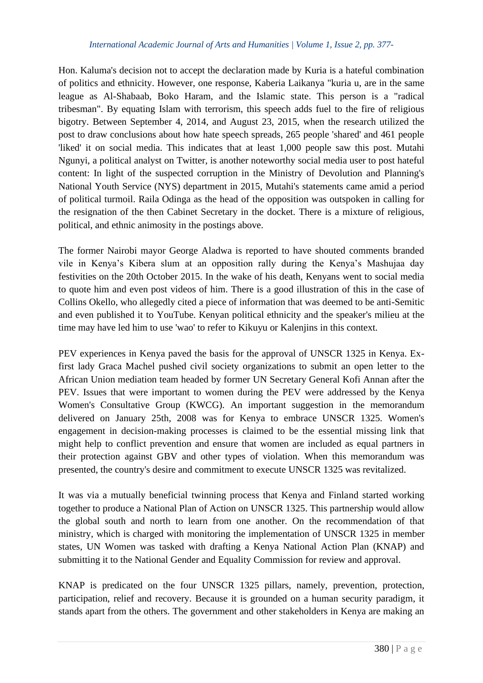Hon. Kaluma's decision not to accept the declaration made by Kuria is a hateful combination of politics and ethnicity. However, one response, Kaberia Laikanya "kuria u, are in the same league as Al-Shabaab, Boko Haram, and the Islamic state. This person is a "radical tribesman". By equating Islam with terrorism, this speech adds fuel to the fire of religious bigotry. Between September 4, 2014, and August 23, 2015, when the research utilized the post to draw conclusions about how hate speech spreads, 265 people 'shared' and 461 people 'liked' it on social media. This indicates that at least 1,000 people saw this post. Mutahi Ngunyi, a political analyst on Twitter, is another noteworthy social media user to post hateful content: In light of the suspected corruption in the Ministry of Devolution and Planning's National Youth Service (NYS) department in 2015, Mutahi's statements came amid a period of political turmoil. Raila Odinga as the head of the opposition was outspoken in calling for the resignation of the then Cabinet Secretary in the docket. There is a mixture of religious, political, and ethnic animosity in the postings above.

The former Nairobi mayor George Aladwa is reported to have shouted comments branded vile in Kenya's Kibera slum at an opposition rally during the Kenya's Mashujaa day festivities on the 20th October 2015. In the wake of his death, Kenyans went to social media to quote him and even post videos of him. There is a good illustration of this in the case of Collins Okello, who allegedly cited a piece of information that was deemed to be anti-Semitic and even published it to YouTube. Kenyan political ethnicity and the speaker's milieu at the time may have led him to use 'wao' to refer to Kikuyu or Kalenjins in this context.

PEV experiences in Kenya paved the basis for the approval of UNSCR 1325 in Kenya. Exfirst lady Graca Machel pushed civil society organizations to submit an open letter to the African Union mediation team headed by former UN Secretary General Kofi Annan after the PEV. Issues that were important to women during the PEV were addressed by the Kenya Women's Consultative Group (KWCG). An important suggestion in the memorandum delivered on January 25th, 2008 was for Kenya to embrace UNSCR 1325. Women's engagement in decision-making processes is claimed to be the essential missing link that might help to conflict prevention and ensure that women are included as equal partners in their protection against GBV and other types of violation. When this memorandum was presented, the country's desire and commitment to execute UNSCR 1325 was revitalized.

It was via a mutually beneficial twinning process that Kenya and Finland started working together to produce a National Plan of Action on UNSCR 1325. This partnership would allow the global south and north to learn from one another. On the recommendation of that ministry, which is charged with monitoring the implementation of UNSCR 1325 in member states, UN Women was tasked with drafting a Kenya National Action Plan (KNAP) and submitting it to the National Gender and Equality Commission for review and approval.

KNAP is predicated on the four UNSCR 1325 pillars, namely, prevention, protection, participation, relief and recovery. Because it is grounded on a human security paradigm, it stands apart from the others. The government and other stakeholders in Kenya are making an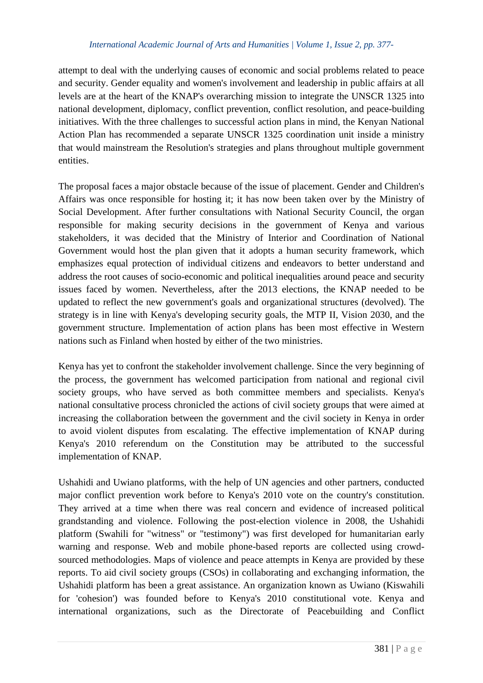attempt to deal with the underlying causes of economic and social problems related to peace and security. Gender equality and women's involvement and leadership in public affairs at all levels are at the heart of the KNAP's overarching mission to integrate the UNSCR 1325 into national development, diplomacy, conflict prevention, conflict resolution, and peace-building initiatives. With the three challenges to successful action plans in mind, the Kenyan National Action Plan has recommended a separate UNSCR 1325 coordination unit inside a ministry that would mainstream the Resolution's strategies and plans throughout multiple government entities.

The proposal faces a major obstacle because of the issue of placement. Gender and Children's Affairs was once responsible for hosting it; it has now been taken over by the Ministry of Social Development. After further consultations with National Security Council, the organ responsible for making security decisions in the government of Kenya and various stakeholders, it was decided that the Ministry of Interior and Coordination of National Government would host the plan given that it adopts a human security framework, which emphasizes equal protection of individual citizens and endeavors to better understand and address the root causes of socio-economic and political inequalities around peace and security issues faced by women. Nevertheless, after the 2013 elections, the KNAP needed to be updated to reflect the new government's goals and organizational structures (devolved). The strategy is in line with Kenya's developing security goals, the MTP II, Vision 2030, and the government structure. Implementation of action plans has been most effective in Western nations such as Finland when hosted by either of the two ministries.

Kenya has yet to confront the stakeholder involvement challenge. Since the very beginning of the process, the government has welcomed participation from national and regional civil society groups, who have served as both committee members and specialists. Kenya's national consultative process chronicled the actions of civil society groups that were aimed at increasing the collaboration between the government and the civil society in Kenya in order to avoid violent disputes from escalating. The effective implementation of KNAP during Kenya's 2010 referendum on the Constitution may be attributed to the successful implementation of KNAP.

Ushahidi and Uwiano platforms, with the help of UN agencies and other partners, conducted major conflict prevention work before to Kenya's 2010 vote on the country's constitution. They arrived at a time when there was real concern and evidence of increased political grandstanding and violence. Following the post-election violence in 2008, the Ushahidi platform (Swahili for "witness" or "testimony") was first developed for humanitarian early warning and response. Web and mobile phone-based reports are collected using crowdsourced methodologies. Maps of violence and peace attempts in Kenya are provided by these reports. To aid civil society groups (CSOs) in collaborating and exchanging information, the Ushahidi platform has been a great assistance. An organization known as Uwiano (Kiswahili for 'cohesion') was founded before to Kenya's 2010 constitutional vote. Kenya and international organizations, such as the Directorate of Peacebuilding and Conflict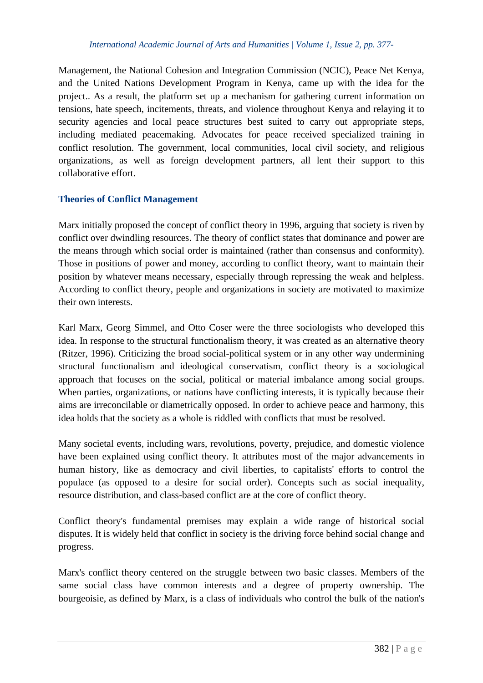Management, the National Cohesion and Integration Commission (NCIC), Peace Net Kenya, and the United Nations Development Program in Kenya, came up with the idea for the project.. As a result, the platform set up a mechanism for gathering current information on tensions, hate speech, incitements, threats, and violence throughout Kenya and relaying it to security agencies and local peace structures best suited to carry out appropriate steps, including mediated peacemaking. Advocates for peace received specialized training in conflict resolution. The government, local communities, local civil society, and religious organizations, as well as foreign development partners, all lent their support to this collaborative effort.

# **Theories of Conflict Management**

Marx initially proposed the concept of conflict theory in 1996, arguing that society is riven by conflict over dwindling resources. The theory of conflict states that dominance and power are the means through which social order is maintained (rather than consensus and conformity). Those in positions of power and money, according to conflict theory, want to maintain their position by whatever means necessary, especially through repressing the weak and helpless. According to conflict theory, people and organizations in society are motivated to maximize their own interests.

Karl Marx, Georg Simmel, and Otto Coser were the three sociologists who developed this idea. In response to the structural functionalism theory, it was created as an alternative theory (Ritzer, 1996). Criticizing the broad social-political system or in any other way undermining structural functionalism and ideological conservatism, conflict theory is a sociological approach that focuses on the social, political or material imbalance among social groups. When parties, organizations, or nations have conflicting interests, it is typically because their aims are irreconcilable or diametrically opposed. In order to achieve peace and harmony, this idea holds that the society as a whole is riddled with conflicts that must be resolved.

Many societal events, including wars, revolutions, poverty, prejudice, and domestic violence have been explained using conflict theory. It attributes most of the major advancements in human history, like as democracy and civil liberties, to capitalists' efforts to control the populace (as opposed to a desire for social order). Concepts such as social inequality, resource distribution, and class-based conflict are at the core of conflict theory.

Conflict theory's fundamental premises may explain a wide range of historical social disputes. It is widely held that conflict in society is the driving force behind social change and progress.

Marx's conflict theory centered on the struggle between two basic classes. Members of the same social class have common interests and a degree of property ownership. The bourgeoisie, as defined by Marx, is a class of individuals who control the bulk of the nation's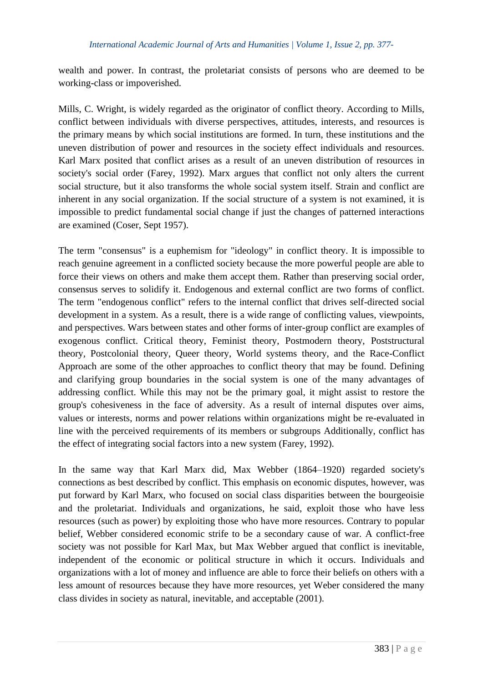wealth and power. In contrast, the proletariat consists of persons who are deemed to be working-class or impoverished.

Mills, C. Wright, is widely regarded as the originator of conflict theory. According to Mills, conflict between individuals with diverse perspectives, attitudes, interests, and resources is the primary means by which social institutions are formed. In turn, these institutions and the uneven distribution of power and resources in the society effect individuals and resources. Karl Marx posited that conflict arises as a result of an uneven distribution of resources in society's social order (Farey, 1992). Marx argues that conflict not only alters the current social structure, but it also transforms the whole social system itself. Strain and conflict are inherent in any social organization. If the social structure of a system is not examined, it is impossible to predict fundamental social change if just the changes of patterned interactions are examined (Coser, Sept 1957).

The term "consensus" is a euphemism for "ideology" in conflict theory. It is impossible to reach genuine agreement in a conflicted society because the more powerful people are able to force their views on others and make them accept them. Rather than preserving social order, consensus serves to solidify it. Endogenous and external conflict are two forms of conflict. The term "endogenous conflict" refers to the internal conflict that drives self-directed social development in a system. As a result, there is a wide range of conflicting values, viewpoints, and perspectives. Wars between states and other forms of inter-group conflict are examples of exogenous conflict. Critical theory, Feminist theory, Postmodern theory, Poststructural theory, Postcolonial theory, Queer theory, World systems theory, and the Race-Conflict Approach are some of the other approaches to conflict theory that may be found. Defining and clarifying group boundaries in the social system is one of the many advantages of addressing conflict. While this may not be the primary goal, it might assist to restore the group's cohesiveness in the face of adversity. As a result of internal disputes over aims, values or interests, norms and power relations within organizations might be re-evaluated in line with the perceived requirements of its members or subgroups Additionally, conflict has the effect of integrating social factors into a new system (Farey, 1992).

In the same way that Karl Marx did, Max Webber (1864–1920) regarded society's connections as best described by conflict. This emphasis on economic disputes, however, was put forward by Karl Marx, who focused on social class disparities between the bourgeoisie and the proletariat. Individuals and organizations, he said, exploit those who have less resources (such as power) by exploiting those who have more resources. Contrary to popular belief, Webber considered economic strife to be a secondary cause of war. A conflict-free society was not possible for Karl Max, but Max Webber argued that conflict is inevitable, independent of the economic or political structure in which it occurs. Individuals and organizations with a lot of money and influence are able to force their beliefs on others with a less amount of resources because they have more resources, yet Weber considered the many class divides in society as natural, inevitable, and acceptable (2001).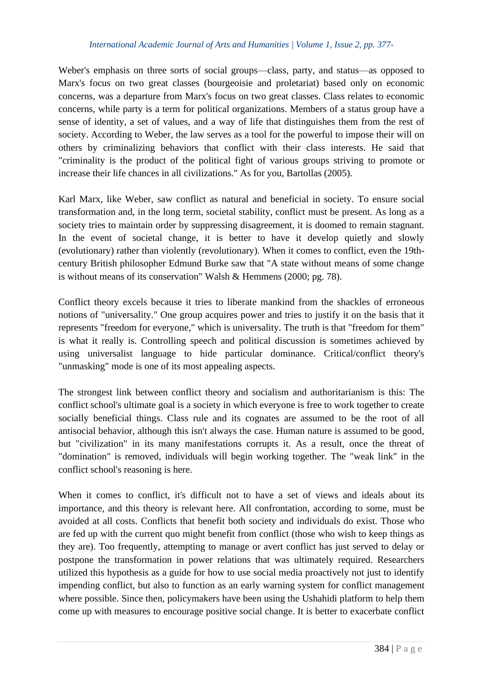Weber's emphasis on three sorts of social groups—class, party, and status—as opposed to Marx's focus on two great classes (bourgeoisie and proletariat) based only on economic concerns, was a departure from Marx's focus on two great classes. Class relates to economic concerns, while party is a term for political organizations. Members of a status group have a sense of identity, a set of values, and a way of life that distinguishes them from the rest of society. According to Weber, the law serves as a tool for the powerful to impose their will on others by criminalizing behaviors that conflict with their class interests. He said that "criminality is the product of the political fight of various groups striving to promote or increase their life chances in all civilizations." As for you, Bartollas (2005).

Karl Marx, like Weber, saw conflict as natural and beneficial in society. To ensure social transformation and, in the long term, societal stability, conflict must be present. As long as a society tries to maintain order by suppressing disagreement, it is doomed to remain stagnant. In the event of societal change, it is better to have it develop quietly and slowly (evolutionary) rather than violently (revolutionary). When it comes to conflict, even the 19thcentury British philosopher Edmund Burke saw that "A state without means of some change is without means of its conservation" Walsh & Hemmens (2000; pg. 78).

Conflict theory excels because it tries to liberate mankind from the shackles of erroneous notions of "universality." One group acquires power and tries to justify it on the basis that it represents "freedom for everyone," which is universality. The truth is that "freedom for them" is what it really is. Controlling speech and political discussion is sometimes achieved by using universalist language to hide particular dominance. Critical/conflict theory's "unmasking" mode is one of its most appealing aspects.

The strongest link between conflict theory and socialism and authoritarianism is this: The conflict school's ultimate goal is a society in which everyone is free to work together to create socially beneficial things. Class rule and its cognates are assumed to be the root of all antisocial behavior, although this isn't always the case. Human nature is assumed to be good, but "civilization" in its many manifestations corrupts it. As a result, once the threat of "domination" is removed, individuals will begin working together. The "weak link" in the conflict school's reasoning is here.

When it comes to conflict, it's difficult not to have a set of views and ideals about its importance, and this theory is relevant here. All confrontation, according to some, must be avoided at all costs. Conflicts that benefit both society and individuals do exist. Those who are fed up with the current quo might benefit from conflict (those who wish to keep things as they are). Too frequently, attempting to manage or avert conflict has just served to delay or postpone the transformation in power relations that was ultimately required. Researchers utilized this hypothesis as a guide for how to use social media proactively not just to identify impending conflict, but also to function as an early warning system for conflict management where possible. Since then, policymakers have been using the Ushahidi platform to help them come up with measures to encourage positive social change. It is better to exacerbate conflict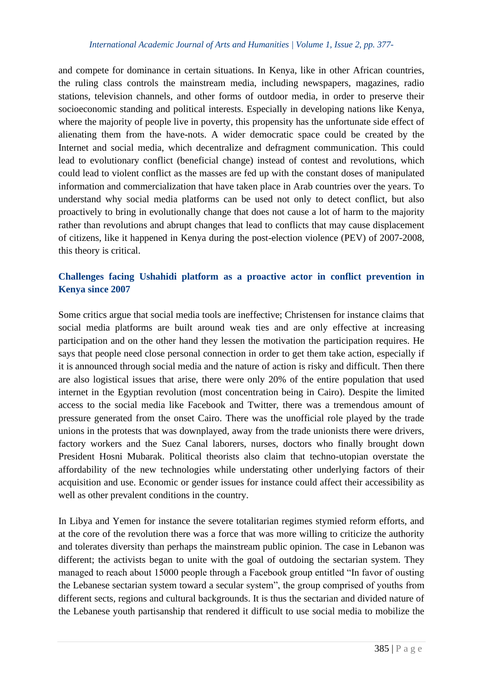and compete for dominance in certain situations. In Kenya, like in other African countries, the ruling class controls the mainstream media, including newspapers, magazines, radio stations, television channels, and other forms of outdoor media, in order to preserve their socioeconomic standing and political interests. Especially in developing nations like Kenya, where the majority of people live in poverty, this propensity has the unfortunate side effect of alienating them from the have-nots. A wider democratic space could be created by the Internet and social media, which decentralize and defragment communication. This could lead to evolutionary conflict (beneficial change) instead of contest and revolutions, which could lead to violent conflict as the masses are fed up with the constant doses of manipulated information and commercialization that have taken place in Arab countries over the years. To understand why social media platforms can be used not only to detect conflict, but also proactively to bring in evolutionally change that does not cause a lot of harm to the majority rather than revolutions and abrupt changes that lead to conflicts that may cause displacement of citizens, like it happened in Kenya during the post-election violence (PEV) of 2007-2008, this theory is critical.

# **Challenges facing Ushahidi platform as a proactive actor in conflict prevention in Kenya since 2007**

Some critics argue that social media tools are ineffective; Christensen for instance claims that social media platforms are built around weak ties and are only effective at increasing participation and on the other hand they lessen the motivation the participation requires. He says that people need close personal connection in order to get them take action, especially if it is announced through social media and the nature of action is risky and difficult. Then there are also logistical issues that arise, there were only 20% of the entire population that used internet in the Egyptian revolution (most concentration being in Cairo). Despite the limited access to the social media like Facebook and Twitter, there was a tremendous amount of pressure generated from the onset Cairo. There was the unofficial role played by the trade unions in the protests that was downplayed, away from the trade unionists there were drivers, factory workers and the Suez Canal laborers, nurses, doctors who finally brought down President Hosni Mubarak. Political theorists also claim that techno-utopian overstate the affordability of the new technologies while understating other underlying factors of their acquisition and use. Economic or gender issues for instance could affect their accessibility as well as other prevalent conditions in the country.

In Libya and Yemen for instance the severe totalitarian regimes stymied reform efforts, and at the core of the revolution there was a force that was more willing to criticize the authority and tolerates diversity than perhaps the mainstream public opinion. The case in Lebanon was different; the activists began to unite with the goal of outdoing the sectarian system. They managed to reach about 15000 people through a Facebook group entitled "In favor of ousting the Lebanese sectarian system toward a secular system", the group comprised of youths from different sects, regions and cultural backgrounds. It is thus the sectarian and divided nature of the Lebanese youth partisanship that rendered it difficult to use social media to mobilize the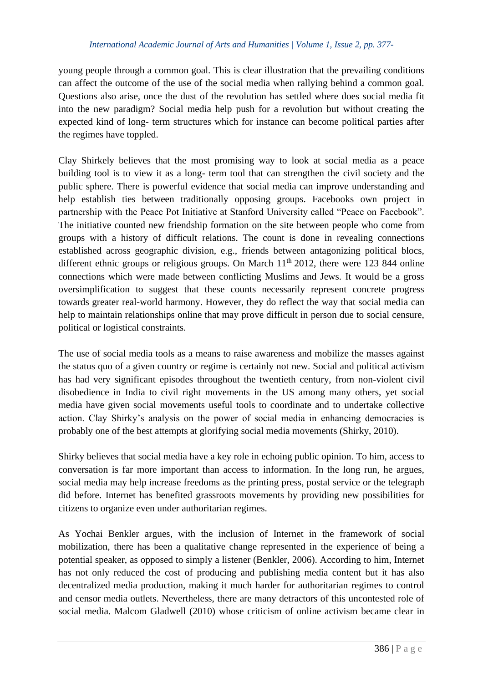young people through a common goal. This is clear illustration that the prevailing conditions can affect the outcome of the use of the social media when rallying behind a common goal. Questions also arise, once the dust of the revolution has settled where does social media fit into the new paradigm? Social media help push for a revolution but without creating the expected kind of long- term structures which for instance can become political parties after the regimes have toppled.

Clay Shirkely believes that the most promising way to look at social media as a peace building tool is to view it as a long- term tool that can strengthen the civil society and the public sphere. There is powerful evidence that social media can improve understanding and help establish ties between traditionally opposing groups. Facebooks own project in partnership with the Peace Pot Initiative at Stanford University called "Peace on Facebook". The initiative counted new friendship formation on the site between people who come from groups with a history of difficult relations. The count is done in revealing connections established across geographic division, e.g., friends between antagonizing political blocs, different ethnic groups or religious groups. On March  $11<sup>th</sup>$  2012, there were 123 844 online connections which were made between conflicting Muslims and Jews. It would be a gross oversimplification to suggest that these counts necessarily represent concrete progress towards greater real-world harmony. However, they do reflect the way that social media can help to maintain relationships online that may prove difficult in person due to social censure, political or logistical constraints.

The use of social media tools as a means to raise awareness and mobilize the masses against the status quo of a given country or regime is certainly not new. Social and political activism has had very significant episodes throughout the twentieth century, from non-violent civil disobedience in India to civil right movements in the US among many others, yet social media have given social movements useful tools to coordinate and to undertake collective action. Clay Shirky's analysis on the power of social media in enhancing democracies is probably one of the best attempts at glorifying social media movements (Shirky, 2010).

Shirky believes that social media have a key role in echoing public opinion. To him, access to conversation is far more important than access to information. In the long run, he argues, social media may help increase freedoms as the printing press, postal service or the telegraph did before. Internet has benefited grassroots movements by providing new possibilities for citizens to organize even under authoritarian regimes.

As Yochai Benkler argues, with the inclusion of Internet in the framework of social mobilization, there has been a qualitative change represented in the experience of being a potential speaker, as opposed to simply a listener (Benkler, 2006). According to him, Internet has not only reduced the cost of producing and publishing media content but it has also decentralized media production, making it much harder for authoritarian regimes to control and censor media outlets. Nevertheless, there are many detractors of this uncontested role of social media. Malcom Gladwell (2010) whose criticism of online activism became clear in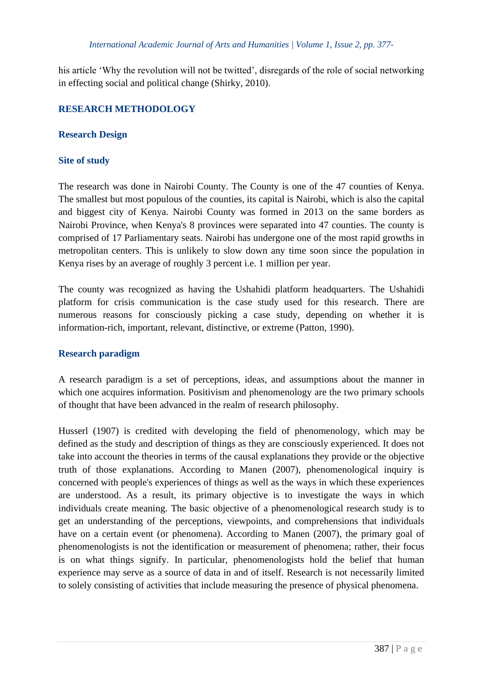his article 'Why the revolution will not be twitted', disregards of the role of social networking in effecting social and political change (Shirky, 2010).

# **RESEARCH METHODOLOGY**

### **Research Design**

# **Site of study**

The research was done in Nairobi County. The County is one of the 47 counties of Kenya. The smallest but most populous of the counties, its capital is Nairobi, which is also the capital and biggest city of Kenya. Nairobi County was formed in 2013 on the same borders as Nairobi Province, when Kenya's 8 provinces were separated into 47 counties. The county is comprised of 17 Parliamentary seats. Nairobi has undergone one of the most rapid growths in metropolitan centers. This is unlikely to slow down any time soon since the population in Kenya rises by an average of roughly 3 percent i.e. 1 million per year.

The county was recognized as having the Ushahidi platform headquarters. The Ushahidi platform for crisis communication is the case study used for this research. There are numerous reasons for consciously picking a case study, depending on whether it is information-rich, important, relevant, distinctive, or extreme (Patton, 1990).

### **Research paradigm**

A research paradigm is a set of perceptions, ideas, and assumptions about the manner in which one acquires information. Positivism and phenomenology are the two primary schools of thought that have been advanced in the realm of research philosophy.

Husserl (1907) is credited with developing the field of phenomenology, which may be defined as the study and description of things as they are consciously experienced. It does not take into account the theories in terms of the causal explanations they provide or the objective truth of those explanations. According to Manen (2007), phenomenological inquiry is concerned with people's experiences of things as well as the ways in which these experiences are understood. As a result, its primary objective is to investigate the ways in which individuals create meaning. The basic objective of a phenomenological research study is to get an understanding of the perceptions, viewpoints, and comprehensions that individuals have on a certain event (or phenomena). According to Manen (2007), the primary goal of phenomenologists is not the identification or measurement of phenomena; rather, their focus is on what things signify. In particular, phenomenologists hold the belief that human experience may serve as a source of data in and of itself. Research is not necessarily limited to solely consisting of activities that include measuring the presence of physical phenomena.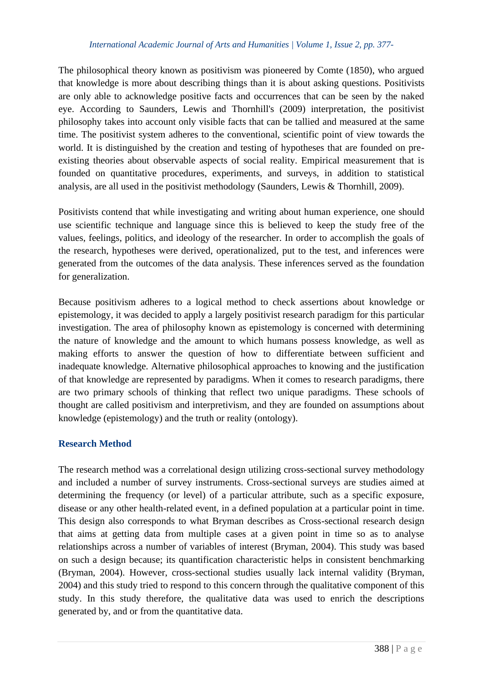The philosophical theory known as positivism was pioneered by Comte (1850), who argued that knowledge is more about describing things than it is about asking questions. Positivists are only able to acknowledge positive facts and occurrences that can be seen by the naked eye. According to Saunders, Lewis and Thornhill's (2009) interpretation, the positivist philosophy takes into account only visible facts that can be tallied and measured at the same time. The positivist system adheres to the conventional, scientific point of view towards the world. It is distinguished by the creation and testing of hypotheses that are founded on preexisting theories about observable aspects of social reality. Empirical measurement that is founded on quantitative procedures, experiments, and surveys, in addition to statistical analysis, are all used in the positivist methodology (Saunders, Lewis & Thornhill, 2009).

Positivists contend that while investigating and writing about human experience, one should use scientific technique and language since this is believed to keep the study free of the values, feelings, politics, and ideology of the researcher. In order to accomplish the goals of the research, hypotheses were derived, operationalized, put to the test, and inferences were generated from the outcomes of the data analysis. These inferences served as the foundation for generalization.

Because positivism adheres to a logical method to check assertions about knowledge or epistemology, it was decided to apply a largely positivist research paradigm for this particular investigation. The area of philosophy known as epistemology is concerned with determining the nature of knowledge and the amount to which humans possess knowledge, as well as making efforts to answer the question of how to differentiate between sufficient and inadequate knowledge. Alternative philosophical approaches to knowing and the justification of that knowledge are represented by paradigms. When it comes to research paradigms, there are two primary schools of thinking that reflect two unique paradigms. These schools of thought are called positivism and interpretivism, and they are founded on assumptions about knowledge (epistemology) and the truth or reality (ontology).

### **Research Method**

The research method was a correlational design utilizing cross-sectional survey methodology and included a number of survey instruments. Cross-sectional surveys are studies aimed at determining the frequency (or level) of a particular attribute, such as a specific exposure, disease or any other health-related event, in a defined population at a particular point in time. This design also corresponds to what Bryman describes as Cross-sectional research design that aims at getting data from multiple cases at a given point in time so as to analyse relationships across a number of variables of interest (Bryman, 2004). This study was based on such a design because; its quantification characteristic helps in consistent benchmarking (Bryman, 2004). However, cross-sectional studies usually lack internal validity (Bryman, 2004) and this study tried to respond to this concern through the qualitative component of this study. In this study therefore, the qualitative data was used to enrich the descriptions generated by, and or from the quantitative data.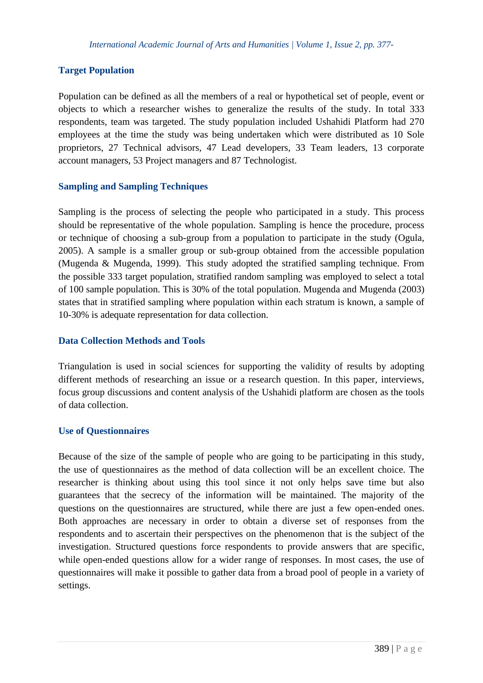# **Target Population**

Population can be defined as all the members of a real or hypothetical set of people, event or objects to which a researcher wishes to generalize the results of the study. In total 333 respondents, team was targeted. The study population included Ushahidi Platform had 270 employees at the time the study was being undertaken which were distributed as 10 Sole proprietors, 27 Technical advisors, 47 Lead developers, 33 Team leaders, 13 corporate account managers, 53 Project managers and 87 Technologist.

### **Sampling and Sampling Techniques**

Sampling is the process of selecting the people who participated in a study. This process should be representative of the whole population. Sampling is hence the procedure, process or technique of choosing a sub-group from a population to participate in the study (Ogula, 2005). A sample is a smaller group or sub-group obtained from the accessible population (Mugenda & Mugenda, 1999). This study adopted the stratified sampling technique. From the possible 333 target population, stratified random sampling was employed to select a total of 100 sample population. This is 30% of the total population. Mugenda and Mugenda (2003) states that in stratified sampling where population within each stratum is known, a sample of 10-30% is adequate representation for data collection.

### **Data Collection Methods and Tools**

Triangulation is used in social sciences for supporting the validity of results by adopting different methods of researching an issue or a research question. In this paper, interviews, focus group discussions and content analysis of the Ushahidi platform are chosen as the tools of data collection.

#### **Use of Questionnaires**

Because of the size of the sample of people who are going to be participating in this study, the use of questionnaires as the method of data collection will be an excellent choice. The researcher is thinking about using this tool since it not only helps save time but also guarantees that the secrecy of the information will be maintained. The majority of the questions on the questionnaires are structured, while there are just a few open-ended ones. Both approaches are necessary in order to obtain a diverse set of responses from the respondents and to ascertain their perspectives on the phenomenon that is the subject of the investigation. Structured questions force respondents to provide answers that are specific, while open-ended questions allow for a wider range of responses. In most cases, the use of questionnaires will make it possible to gather data from a broad pool of people in a variety of settings.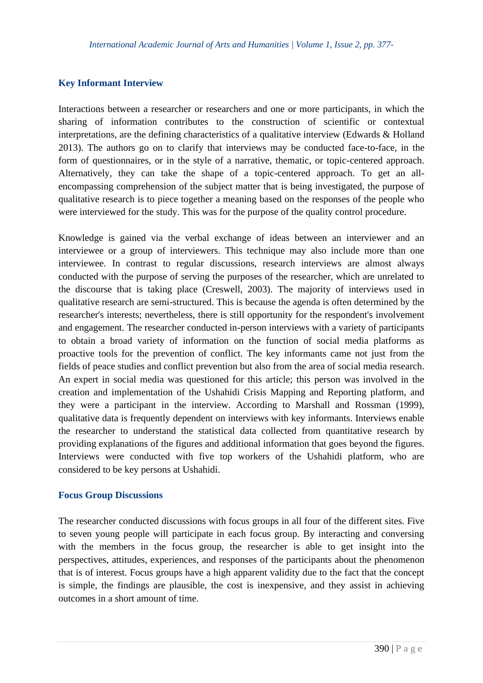## **Key Informant Interview**

Interactions between a researcher or researchers and one or more participants, in which the sharing of information contributes to the construction of scientific or contextual interpretations, are the defining characteristics of a qualitative interview (Edwards & Holland 2013). The authors go on to clarify that interviews may be conducted face-to-face, in the form of questionnaires, or in the style of a narrative, thematic, or topic-centered approach. Alternatively, they can take the shape of a topic-centered approach. To get an allencompassing comprehension of the subject matter that is being investigated, the purpose of qualitative research is to piece together a meaning based on the responses of the people who were interviewed for the study. This was for the purpose of the quality control procedure.

Knowledge is gained via the verbal exchange of ideas between an interviewer and an interviewee or a group of interviewers. This technique may also include more than one interviewee. In contrast to regular discussions, research interviews are almost always conducted with the purpose of serving the purposes of the researcher, which are unrelated to the discourse that is taking place (Creswell, 2003). The majority of interviews used in qualitative research are semi-structured. This is because the agenda is often determined by the researcher's interests; nevertheless, there is still opportunity for the respondent's involvement and engagement. The researcher conducted in-person interviews with a variety of participants to obtain a broad variety of information on the function of social media platforms as proactive tools for the prevention of conflict. The key informants came not just from the fields of peace studies and conflict prevention but also from the area of social media research. An expert in social media was questioned for this article; this person was involved in the creation and implementation of the Ushahidi Crisis Mapping and Reporting platform, and they were a participant in the interview. According to Marshall and Rossman (1999), qualitative data is frequently dependent on interviews with key informants. Interviews enable the researcher to understand the statistical data collected from quantitative research by providing explanations of the figures and additional information that goes beyond the figures. Interviews were conducted with five top workers of the Ushahidi platform, who are considered to be key persons at Ushahidi.

### **Focus Group Discussions**

The researcher conducted discussions with focus groups in all four of the different sites. Five to seven young people will participate in each focus group. By interacting and conversing with the members in the focus group, the researcher is able to get insight into the perspectives, attitudes, experiences, and responses of the participants about the phenomenon that is of interest. Focus groups have a high apparent validity due to the fact that the concept is simple, the findings are plausible, the cost is inexpensive, and they assist in achieving outcomes in a short amount of time.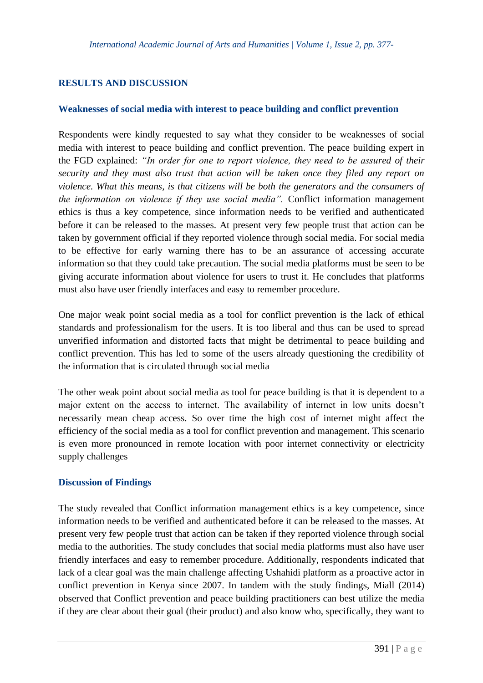# **RESULTS AND DISCUSSION**

### **Weaknesses of social media with interest to peace building and conflict prevention**

Respondents were kindly requested to say what they consider to be weaknesses of social media with interest to peace building and conflict prevention. The peace building expert in the FGD explained: *"In order for one to report violence, they need to be assured of their security and they must also trust that action will be taken once they filed any report on violence. What this means, is that citizens will be both the generators and the consumers of the information on violence if they use social media".* Conflict information management ethics is thus a key competence, since information needs to be verified and authenticated before it can be released to the masses. At present very few people trust that action can be taken by government official if they reported violence through social media. For social media to be effective for early warning there has to be an assurance of accessing accurate information so that they could take precaution. The social media platforms must be seen to be giving accurate information about violence for users to trust it. He concludes that platforms must also have user friendly interfaces and easy to remember procedure.

One major weak point social media as a tool for conflict prevention is the lack of ethical standards and professionalism for the users. It is too liberal and thus can be used to spread unverified information and distorted facts that might be detrimental to peace building and conflict prevention. This has led to some of the users already questioning the credibility of the information that is circulated through social media

The other weak point about social media as tool for peace building is that it is dependent to a major extent on the access to internet. The availability of internet in low units doesn't necessarily mean cheap access. So over time the high cost of internet might affect the efficiency of the social media as a tool for conflict prevention and management. This scenario is even more pronounced in remote location with poor internet connectivity or electricity supply challenges

### **Discussion of Findings**

The study revealed that Conflict information management ethics is a key competence, since information needs to be verified and authenticated before it can be released to the masses. At present very few people trust that action can be taken if they reported violence through social media to the authorities. The study concludes that social media platforms must also have user friendly interfaces and easy to remember procedure. Additionally, respondents indicated that lack of a clear goal was the main challenge affecting Ushahidi platform as a proactive actor in conflict prevention in Kenya since 2007. In tandem with the study findings, Miall (2014) observed that Conflict prevention and peace building practitioners can best utilize the media if they are clear about their goal (their product) and also know who, specifically, they want to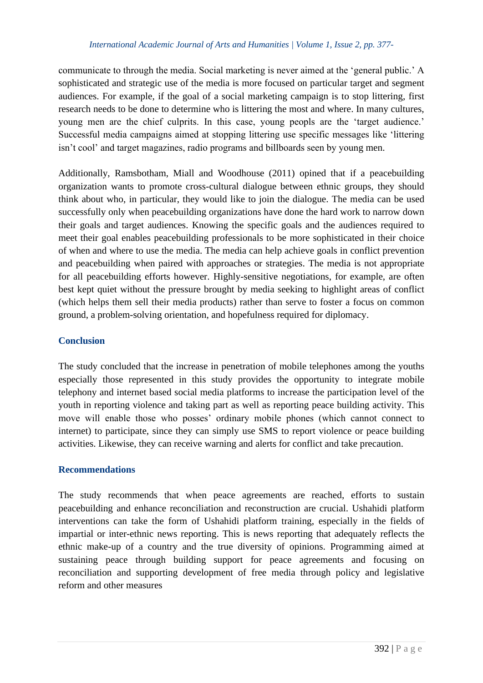communicate to through the media. Social marketing is never aimed at the 'general public.' A sophisticated and strategic use of the media is more focused on particular target and segment audiences. For example, if the goal of a social marketing campaign is to stop littering, first research needs to be done to determine who is littering the most and where. In many cultures, young men are the chief culprits. In this case, young peopls are the 'target audience.' Successful media campaigns aimed at stopping littering use specific messages like 'littering isn't cool' and target magazines, radio programs and billboards seen by young men.

Additionally, Ramsbotham, Miall and Woodhouse (2011) opined that if a peacebuilding organization wants to promote cross-cultural dialogue between ethnic groups, they should think about who, in particular, they would like to join the dialogue. The media can be used successfully only when peacebuilding organizations have done the hard work to narrow down their goals and target audiences. Knowing the specific goals and the audiences required to meet their goal enables peacebuilding professionals to be more sophisticated in their choice of when and where to use the media. The media can help achieve goals in conflict prevention and peacebuilding when paired with approaches or strategies. The media is not appropriate for all peacebuilding efforts however. Highly-sensitive negotiations, for example, are often best kept quiet without the pressure brought by media seeking to highlight areas of conflict (which helps them sell their media products) rather than serve to foster a focus on common ground, a problem-solving orientation, and hopefulness required for diplomacy.

# **Conclusion**

The study concluded that the increase in penetration of mobile telephones among the youths especially those represented in this study provides the opportunity to integrate mobile telephony and internet based social media platforms to increase the participation level of the youth in reporting violence and taking part as well as reporting peace building activity. This move will enable those who posses' ordinary mobile phones (which cannot connect to internet) to participate, since they can simply use SMS to report violence or peace building activities. Likewise, they can receive warning and alerts for conflict and take precaution.

### **Recommendations**

The study recommends that when peace agreements are reached, efforts to sustain peacebuilding and enhance reconciliation and reconstruction are crucial. Ushahidi platform interventions can take the form of Ushahidi platform training, especially in the fields of impartial or inter-ethnic news reporting. This is news reporting that adequately reflects the ethnic make-up of a country and the true diversity of opinions. Programming aimed at sustaining peace through building support for peace agreements and focusing on reconciliation and supporting development of free media through policy and legislative reform and other measures